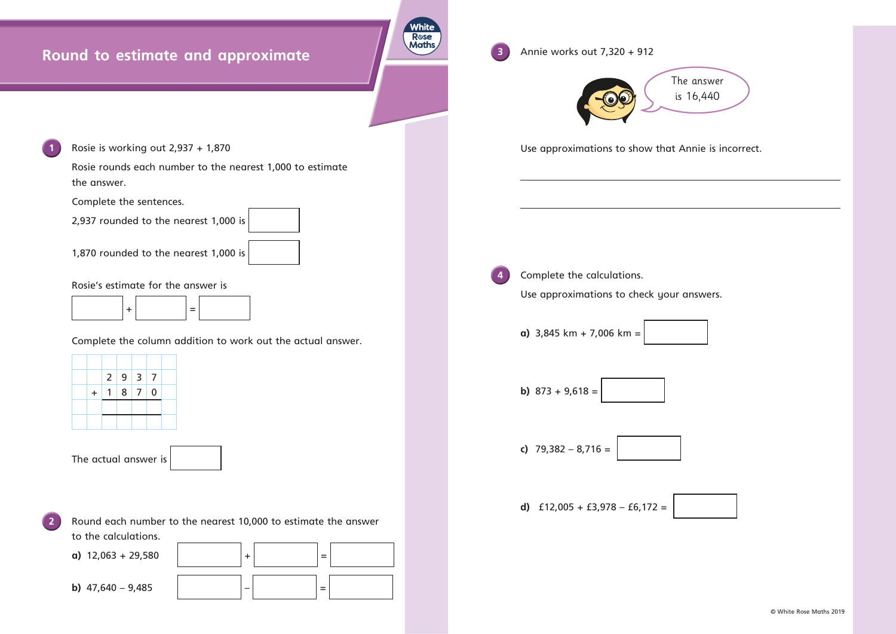## **Round to estimate and approximate**



**1** Rosie is working out 2,937 + 1,870

Rosie rounds each number to the nearest 1,000 to estimate the answer.

Complete the sentences.

2,937 rounded to the nearest 1,000 is

1,870 rounded to the nearest 1,000 is



**2** Round each number to the nearest 10,000 to estimate the answer to the calculations.

Rosie's estimate for the answer is



Complete the column addition to work out the actual answer.



The actual answer is



**3** Annie works out 7,320 + 912

Use approximations to show that Annie is incorrect. **4** Complete the calculations. Use approximations to check your answers. **a)** 3,845 km + 7,006 km = **b)**  $873 + 9,618 =$ **c)** 79,382 – 8,716 =

**d)** £12,005 + £3,978 – £6,172 =

© White Rose Maths 2019